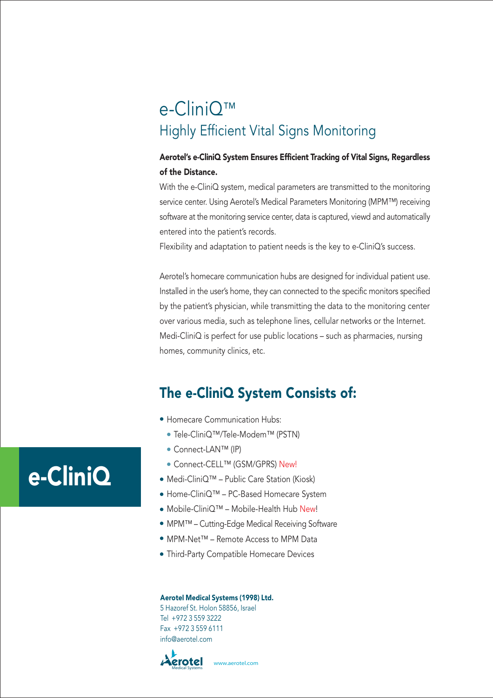## e-CliniQ™ Highly Efficient Vital Signs Monitoring

### Aerotel's e-CliniQ System Ensures Efficient Tracking of Vital Signs, Regardless of the Distance.

With the e-CliniQ system, medical parameters are transmitted to the monitoring service center. Using Aerotel's Medical Parameters Monitoring (MPM™) receiving software at the monitoring service center, data is captured, viewd and automatically entered into the patient's records.

Flexibility and adaptation to patient needs is the key to e-CliniQ's success.

Aerotel's homecare communication hubs are designed for individual patient use. Installed in the user's home, they can connected to the specific monitors specified by the patient's physician, while transmitting the data to the monitoring center over various media, such as telephone lines, cellular networks or the Internet. Medi-CliniQ is perfect for use public locations – such as pharmacies, nursing homes, community clinics, etc.

## The e-CliniQ System Consists of:

- Homecare Communication Hubs:
	- Tele-CliniQ™/Tele-Modem™ (PSTN)
	- Connect-LAN™ (IP)
- Connect-CELL™ (GSM/GPRS) New!
- Medi-CliniQ™ Public Care Station (Kiosk)
- Home-CliniQ™ PC-Based Homecare System
- Mobile-CliniQ™ Mobile-Health Hub New!
- MPM™ Cutting-Edge Medical Receiving Software
- MPM-Net™ Remote Access to MPM Data
- Third-Party Compatible Homecare Devices

#### Aerotel Medical Systems (1998) Ltd.

5 Hazoref St. Holon 58856, Israel Tel +972 3 559 3222 Fax +972 3 559 6111 info@aerotel.com



# e-CliniQ